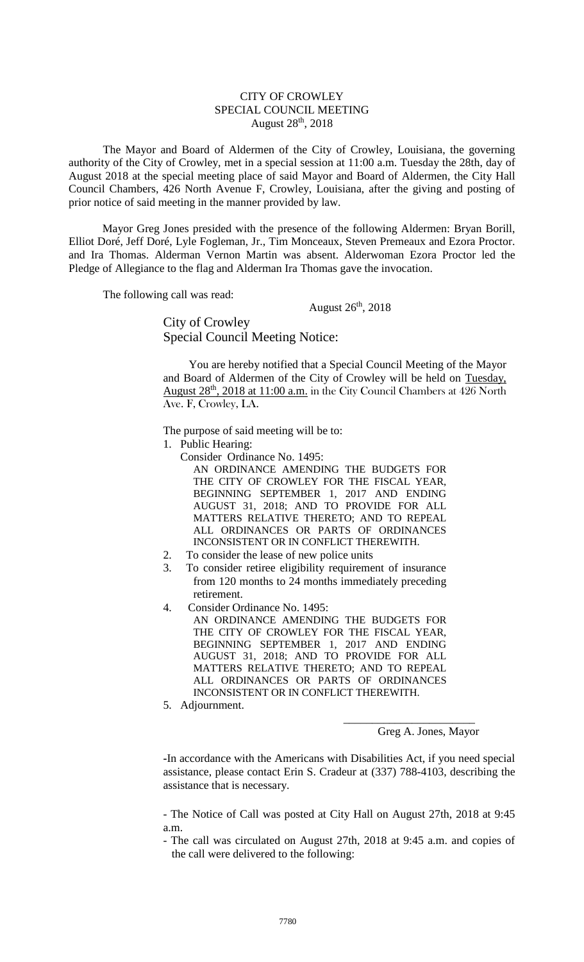## CITY OF CROWLEY SPECIAL COUNCIL MEETING August 28th, 2018

The Mayor and Board of Aldermen of the City of Crowley, Louisiana, the governing authority of the City of Crowley, met in a special session at 11:00 a.m. Tuesday the 28th, day of August 2018 at the special meeting place of said Mayor and Board of Aldermen, the City Hall Council Chambers, 426 North Avenue F, Crowley, Louisiana, after the giving and posting of prior notice of said meeting in the manner provided by law.

Mayor Greg Jones presided with the presence of the following Aldermen: Bryan Borill, Elliot Doré, Jeff Doré, Lyle Fogleman, Jr., Tim Monceaux, Steven Premeaux and Ezora Proctor. and Ira Thomas. Alderman Vernon Martin was absent. Alderwoman Ezora Proctor led the Pledge of Allegiance to the flag and Alderman Ira Thomas gave the invocation.

The following call was read:

August  $26<sup>th</sup>$ , 2018

City of Crowley Special Council Meeting Notice:

You are hereby notified that a Special Council Meeting of the Mayor and Board of Aldermen of the City of Crowley will be held on Tuesday, August 28<sup>th</sup>, 2018 at 11:00 a.m. in the City Council Chambers at 426 North Ave. F, Crowley, LA.

The purpose of said meeting will be to:

- 1. Public Hearing:
	- Consider Ordinance No. 1495:
		- AN ORDINANCE AMENDING THE BUDGETS FOR THE CITY OF CROWLEY FOR THE FISCAL YEAR, BEGINNING SEPTEMBER 1, 2017 AND ENDING AUGUST 31, 2018; AND TO PROVIDE FOR ALL MATTERS RELATIVE THERETO; AND TO REPEAL ALL ORDINANCES OR PARTS OF ORDINANCES INCONSISTENT OR IN CONFLICT THEREWITH.
- 2. To consider the lease of new police units
- 3. To consider retiree eligibility requirement of insurance from 120 months to 24 months immediately preceding retirement.
- 4. Consider Ordinance No. 1495:
	- AN ORDINANCE AMENDING THE BUDGETS FOR THE CITY OF CROWLEY FOR THE FISCAL YEAR, BEGINNING SEPTEMBER 1, 2017 AND ENDING AUGUST 31, 2018; AND TO PROVIDE FOR ALL MATTERS RELATIVE THERETO; AND TO REPEAL ALL ORDINANCES OR PARTS OF ORDINANCES INCONSISTENT OR IN CONFLICT THEREWITH.
- 5. Adjournment.

Greg A. Jones, Mayor

\_\_\_\_\_\_\_\_\_\_\_\_\_\_\_\_\_\_\_\_\_\_\_

**-**In accordance with the Americans with Disabilities Act, if you need special assistance, please contact Erin S. Cradeur at (337) 788-4103, describing the assistance that is necessary.

- The Notice of Call was posted at City Hall on August 27th, 2018 at 9:45 a.m.

- The call was circulated on August 27th, 2018 at 9:45 a.m. and copies of the call were delivered to the following: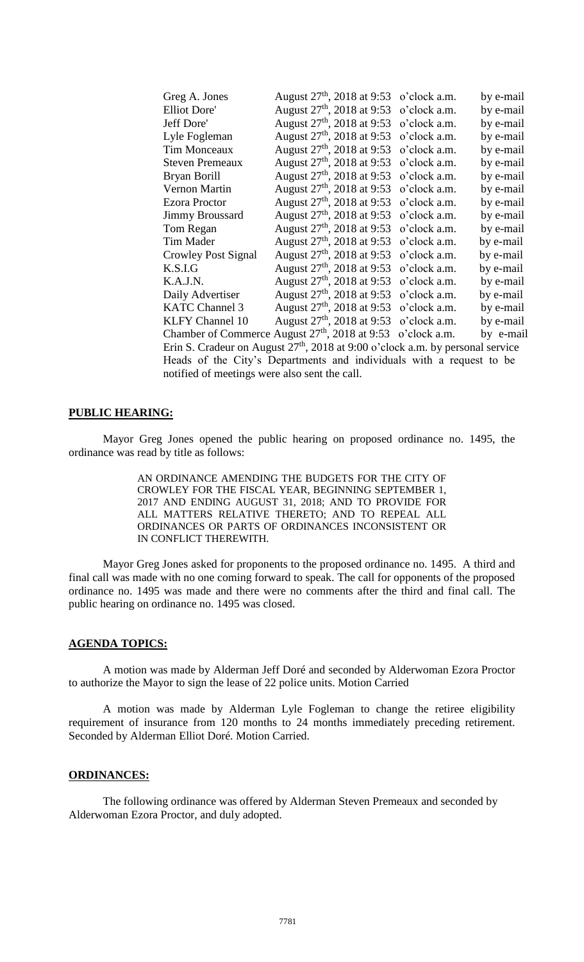| Greg A. Jones                                                                    | August $27th$ , 2018 at 9:53                     | o'clock a.m. | by e-mail |  |  |
|----------------------------------------------------------------------------------|--------------------------------------------------|--------------|-----------|--|--|
| <b>Elliot Dore'</b>                                                              | August 27 <sup>th</sup> , 2018 at 9:53           | o'clock a.m. | by e-mail |  |  |
| Jeff Dore'                                                                       | August $27th$ , 2018 at 9:53                     | o'clock a.m. | by e-mail |  |  |
| Lyle Fogleman                                                                    | August 27 <sup>th</sup> , 2018 at 9:53           | o'clock a.m. | by e-mail |  |  |
| Tim Monceaux                                                                     | August 27 <sup>th</sup> , 2018 at 9:53           | o'clock a.m. | by e-mail |  |  |
| <b>Steven Premeaux</b>                                                           | August $27th$ , 2018 at 9:53                     | o'clock a.m. | by e-mail |  |  |
| Bryan Borill                                                                     | August $27^{\text{th}}$ , 2018 at 9:53           | o'clock a.m. | by e-mail |  |  |
| Vernon Martin                                                                    | August 27 <sup>th</sup> , 2018 at 9:53           | o'clock a.m. | by e-mail |  |  |
| <b>Ezora Proctor</b>                                                             | August $27th$ , 2018 at 9:53                     | o'clock a.m. | by e-mail |  |  |
| <b>Jimmy Broussard</b>                                                           | August $27^{\text{th}}$ , 2018 at 9:53           | o'clock a.m. | by e-mail |  |  |
| Tom Regan                                                                        | August 27 <sup>th</sup> , 2018 at 9:53           | o'clock a.m. | by e-mail |  |  |
| Tim Mader                                                                        | August $27th$ , 2018 at 9:53                     | o'clock a.m. | by e-mail |  |  |
| <b>Crowley Post Signal</b>                                                       | August 27 <sup>th</sup> , 2018 at 9:53           | o'clock a.m. | by e-mail |  |  |
| K.S.I.G                                                                          | August 27 <sup>th</sup> , 2018 at 9:53           | o'clock a.m. | by e-mail |  |  |
| K.A.J.N.                                                                         | August $27^{\text{th}}$ , 2018 at 9:53           | o'clock a.m. | by e-mail |  |  |
| Daily Advertiser                                                                 | August 27 <sup>th</sup> , 2018 at 9:53           | o'clock a.m. | by e-mail |  |  |
| <b>KATC Channel 3</b>                                                            | August $27th$ , 2018 at 9:53                     | o'clock a.m. | by e-mail |  |  |
| <b>KLFY Channel 10</b>                                                           | August $27th$ , 2018 at 9:53                     | o'clock a.m. | by e-mail |  |  |
|                                                                                  | Chamber of Commerce August $27th$ , 2018 at 9:53 | o'clock a.m. | by e-mail |  |  |
| Erin S. Cradeur on August $27th$ , 2018 at 9:00 o'clock a.m. by personal service |                                                  |              |           |  |  |
| Heads of the City's Departments and individuals with a request to be             |                                                  |              |           |  |  |
| notified of meetings were also sent the call.                                    |                                                  |              |           |  |  |
|                                                                                  |                                                  |              |           |  |  |

## **PUBLIC HEARING:**

Mayor Greg Jones opened the public hearing on proposed ordinance no. 1495, the ordinance was read by title as follows:

> AN ORDINANCE AMENDING THE BUDGETS FOR THE CITY OF CROWLEY FOR THE FISCAL YEAR, BEGINNING SEPTEMBER 1, 2017 AND ENDING AUGUST 31, 2018; AND TO PROVIDE FOR ALL MATTERS RELATIVE THERETO; AND TO REPEAL ALL ORDINANCES OR PARTS OF ORDINANCES INCONSISTENT OR IN CONFLICT THEREWITH.

Mayor Greg Jones asked for proponents to the proposed ordinance no. 1495. A third and final call was made with no one coming forward to speak. The call for opponents of the proposed ordinance no. 1495 was made and there were no comments after the third and final call. The public hearing on ordinance no. 1495 was closed.

## **AGENDA TOPICS:**

A motion was made by Alderman Jeff Doré and seconded by Alderwoman Ezora Proctor to authorize the Mayor to sign the lease of 22 police units. Motion Carried

A motion was made by Alderman Lyle Fogleman to change the retiree eligibility requirement of insurance from 120 months to 24 months immediately preceding retirement. Seconded by Alderman Elliot Doré. Motion Carried.

#### **ORDINANCES:**

The following ordinance was offered by Alderman Steven Premeaux and seconded by Alderwoman Ezora Proctor, and duly adopted.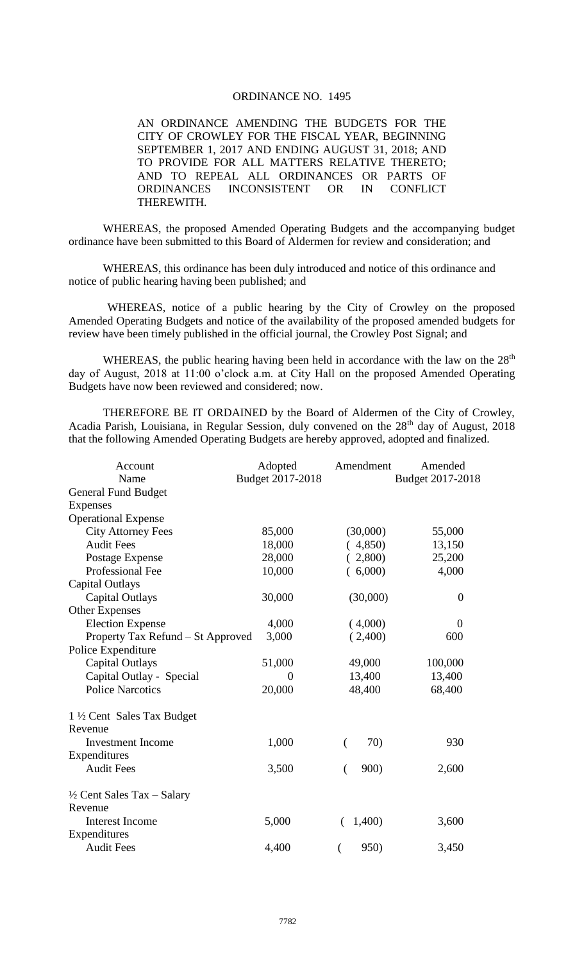# ORDINANCE NO. 1495

AN ORDINANCE AMENDING THE BUDGETS FOR THE CITY OF CROWLEY FOR THE FISCAL YEAR, BEGINNING SEPTEMBER 1, 2017 AND ENDING AUGUST 31, 2018; AND TO PROVIDE FOR ALL MATTERS RELATIVE THERETO; AND TO REPEAL ALL ORDINANCES OR PARTS OF ORDINANCES INCONSISTENT OR IN CONFLICT THEREWITH.

WHEREAS, the proposed Amended Operating Budgets and the accompanying budget ordinance have been submitted to this Board of Aldermen for review and consideration; and

WHEREAS, this ordinance has been duly introduced and notice of this ordinance and notice of public hearing having been published; and

WHEREAS, notice of a public hearing by the City of Crowley on the proposed Amended Operating Budgets and notice of the availability of the proposed amended budgets for review have been timely published in the official journal, the Crowley Post Signal; and

WHEREAS, the public hearing having been held in accordance with the law on the  $28<sup>th</sup>$ day of August, 2018 at 11:00 o'clock a.m. at City Hall on the proposed Amended Operating Budgets have now been reviewed and considered; now.

THEREFORE BE IT ORDAINED by the Board of Aldermen of the City of Crowley, Acadia Parish, Louisiana, in Regular Session, duly convened on the 28<sup>th</sup> day of August, 2018 that the following Amended Operating Budgets are hereby approved, adopted and finalized.

| Account                               | Adopted          | Amendment | Amended          |
|---------------------------------------|------------------|-----------|------------------|
| Name                                  | Budget 2017-2018 |           | Budget 2017-2018 |
| <b>General Fund Budget</b>            |                  |           |                  |
| <b>Expenses</b>                       |                  |           |                  |
| <b>Operational Expense</b>            |                  |           |                  |
| <b>City Attorney Fees</b>             | 85,000           | (30,000)  | 55,000           |
| <b>Audit Fees</b>                     | 18,000           | (4,850)   | 13,150           |
| Postage Expense                       | 28,000           | (2,800)   | 25,200           |
| <b>Professional Fee</b>               | 10,000           | (6,000)   | 4,000            |
| Capital Outlays                       |                  |           |                  |
| Capital Outlays                       | 30,000           | (30,000)  | $\overline{0}$   |
| <b>Other Expenses</b>                 |                  |           |                  |
| <b>Election Expense</b>               | 4,000            | (4,000)   | 0                |
| Property Tax Refund - St Approved     | 3,000            | (2,400)   | 600              |
| Police Expenditure                    |                  |           |                  |
| Capital Outlays                       | 51,000           | 49,000    | 100,000          |
| Capital Outlay - Special              | $\overline{0}$   | 13,400    | 13,400           |
| <b>Police Narcotics</b>               | 20,000           | 48,400    | 68,400           |
| 1 ½ Cent Sales Tax Budget             |                  |           |                  |
| Revenue                               |                  |           |                  |
| <b>Investment Income</b>              | 1,000            | 70)<br>(  | 930              |
| Expenditures                          |                  |           |                  |
| <b>Audit Fees</b>                     | 3,500            | 900)      | 2,600            |
| $\frac{1}{2}$ Cent Sales Tax – Salary |                  |           |                  |
| Revenue                               |                  |           |                  |
| <b>Interest Income</b>                | 5,000            | 1,400)    | 3,600            |
| Expenditures                          |                  |           |                  |
| <b>Audit Fees</b>                     | 4,400            | 950)<br>( | 3,450            |